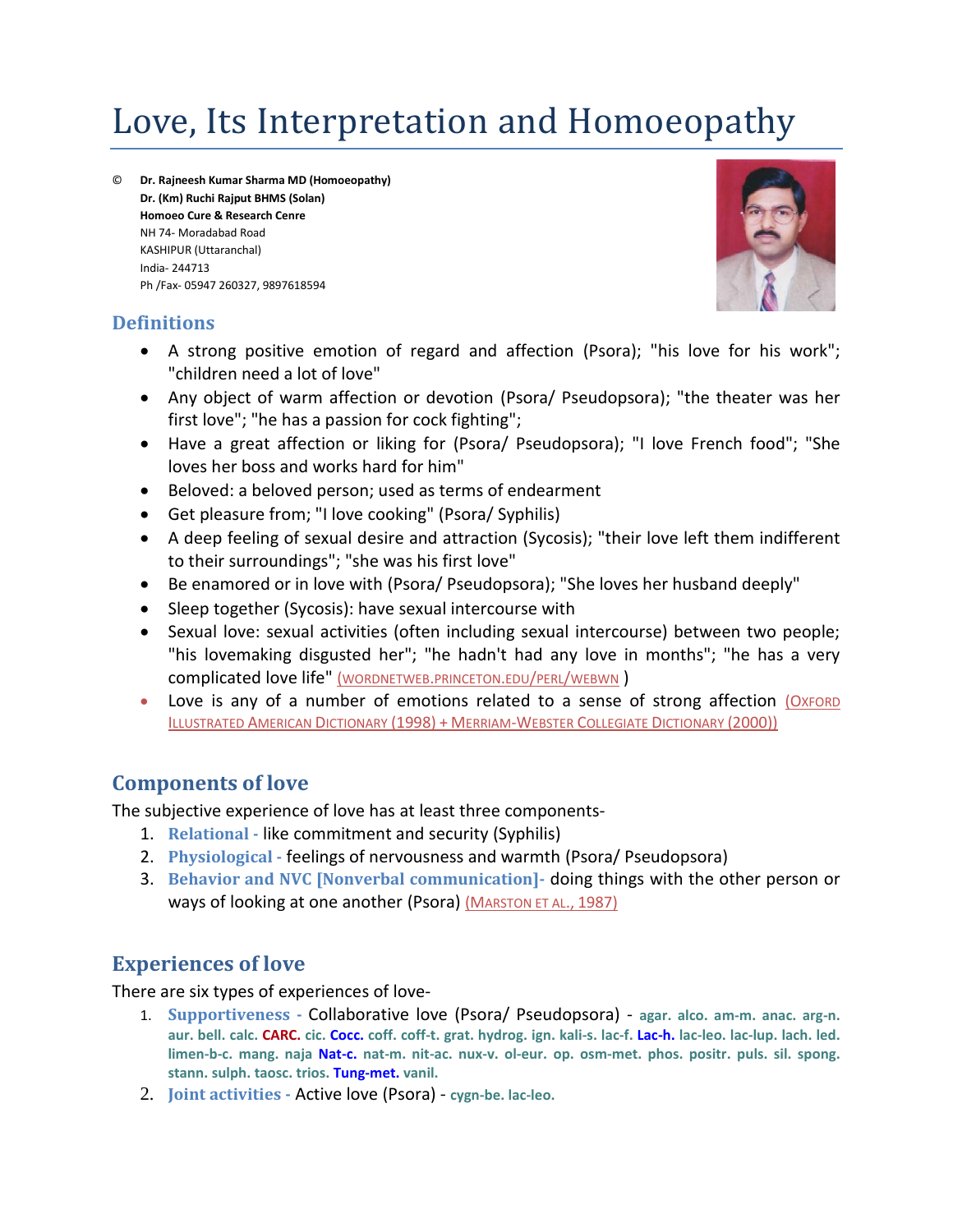# Love, Its Interpretation and Homoeopathy

© **Dr. Rajneesh Kumar Sharma MD (Homoeopathy) Dr. (Km) Ruchi Rajput BHMS (Solan) Homoeo Cure & Research Cenre** NH 74- Moradabad Road KASHIPUR (Uttaranchal) India- 244713 Ph /Fax- 05947 260327, 9897618594

#### **Definitions**



- A strong positive emotion of regard and affection (Psora); "his love for his work"; "children need a lot of love"
- Any object of warm affection or devotion (Psora/ Pseudopsora); "the theater was her first love"; "he has a passion for cock fighting";
- Have a great affection or liking for (Psora/ Pseudopsora); "I love French food"; "She loves her boss and works hard for him"
- Beloved: a beloved person; used as terms of endearment
- Get pleasure from; "I love cooking" (Psora/ Syphilis)
- A deep feeling of sexual desire and attraction (Sycosis); "their love left them indifferent to their surroundings"; "she was his first love"
- Be enamored or in love with (Psora/ Pseudopsora); "She loves her husband deeply"
- Sleep together (Sycosis): have sexual intercourse with
- Sexual love: sexual activities (often including sexual intercourse) between two people; "his lovemaking disgusted her"; "he hadn't had any love in months"; "he has a very complicated love life" (WORDNETWEB.PRINCETON.EDU/PERL/WEBWN )
- Love is any of a number of emotions related to a sense of strong affection (OXFORD ILLUSTRATED AMERICAN DICTIONARY (1998) + MERRIAM-WEBSTER COLLEGIATE DICTIONARY (2000))

# **Components of love**

The subjective experience of love has at least three components-

- 1. **Relational -** like commitment and security (Syphilis)
- 2. **Physiological -** feelings of nervousness and warmth (Psora/ Pseudopsora)
- 3. **Behavior and NVC [Nonverbal communication]-** doing things with the other person or ways of looking at one another (Psora) (MARSTON ET AL., 1987)

# **Experiences of love**

There are six types of experiences of love-

- 1. **Supportiveness -** Collaborative love (Psora/ Pseudopsora) **agar. alco. am-m. anac. arg-n.** aur. bell. calc. CARC. cic. Cocc. coff. coff-t. grat. hydrog. ign. kali-s. lac-f. Lac-h. lac-leo. lac-lup. lach. led. **limen-b-c. mang. naja Nat-c. nat-m. nit-ac. nux-v. ol-eur. op. osm-met. phos. positr. puls. sil. spong. stann. sulph. taosc. trios. Tung-met. vanil.**
- 2. **Joint activities -** Active love (Psora) **cygn-be. lac-leo.**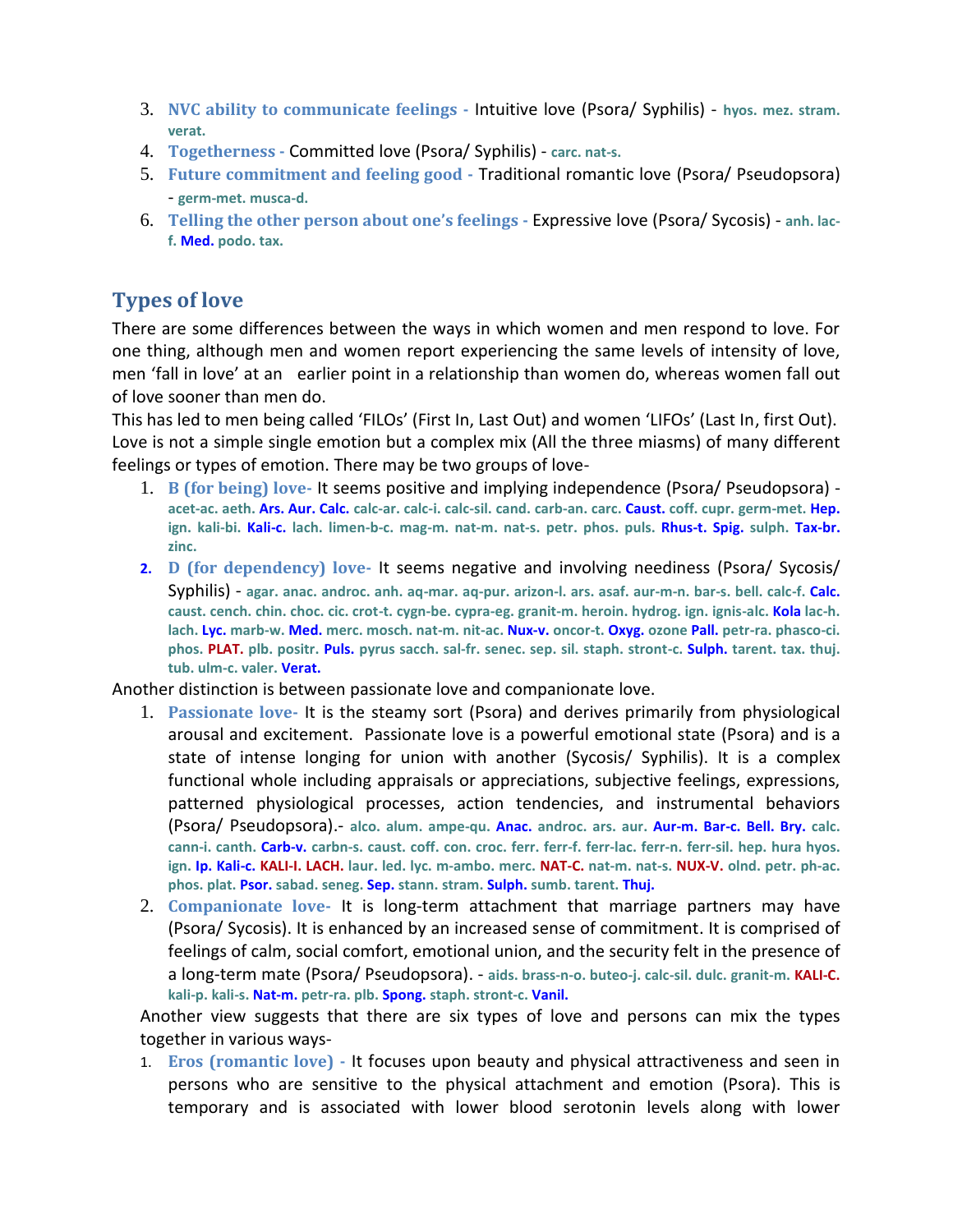- 3. **NVC ability to communicate feelings -** Intuitive love (Psora/ Syphilis) **hyos. mez. stram. verat.**
- 4. **Togetherness -** Committed love (Psora/ Syphilis) **carc. nat-s.**
- 5. **Future commitment and feeling good -** Traditional romantic love (Psora/ Pseudopsora) - **germ-met. musca-d.**
- 6. **Telling the other person about one's feelings -** Expressive love (Psora/ Sycosis) **anh. lacf. Med. podo. tax.**

# **Types of love**

There are some differences between the ways in which women and men respond to love. For one thing, although men and women report experiencing the same levels of intensity of love, men 'fall in love' at an earlier point in a relationship than women do, whereas women fall out of love sooner than men do.

This has led to men being called 'FILOs' (First In, Last Out) and women 'LIFOs' (Last In, first Out). Love is not a simple single emotion but a complex mix (All the three miasms) of many different feelings or types of emotion. There may be two groups of love-

- 1. **B (for being) love-** It seems positive and implying independence (Psora/ Pseudopsora) **acet-ac. aeth. Ars. Aur. Calc. calc-ar. calc-i. calc-sil. cand. carb-an. carc. Caust. coff. cupr. germ-met. Hep. ign. kali-bi. Kali-c. lach. limen-b-c. mag-m. nat-m. nat-s. petr. phos. puls. Rhus-t. Spig. sulph. Tax-br. zinc.**
- **2. D (for dependency) love-** It seems negative and involving neediness (Psora/ Sycosis/ Syphilis) - **agar. anac. androc. anh. aq-mar. aq-pur. arizon-l. ars. asaf. aur-m-n. bar-s. bell. calc-f. Calc. caust. cench. chin. choc. cic. crot-t. cygn-be. cypra-eg. granit-m. heroin. hydrog. ign. ignis-alc. Kola lac-h. lach. Lyc. marb-w. Med. merc. mosch. nat-m. nit-ac. Nux-v. oncor-t. Oxyg. ozone Pall. petr-ra. phasco-ci. phos. PLAT. plb. positr. Puls. pyrus sacch. sal-fr. senec. sep. sil. staph. stront-c. Sulph. tarent. tax. thuj. tub. ulm-c. valer. Verat.**

Another distinction is between passionate love and companionate love.

- 1. **Passionate love-** It is the steamy sort (Psora) and derives primarily from physiological arousal and excitement. Passionate love is a powerful emotional state (Psora) and is a state of intense longing for union with another (Sycosis/ Syphilis). It is a complex functional whole including appraisals or appreciations, subjective feelings, expressions, patterned physiological processes, action tendencies, and instrumental behaviors (Psora/ Pseudopsora).- **alco. alum. ampe-qu. Anac. androc. ars. aur. Aur-m. Bar-c. Bell. Bry. calc.** cann-i. canth. Carb-v. carbn-s. caust. coff. con. croc. ferr. ferr-f. ferr-lac. ferr-n. ferr-sil. hep. hura hyos. ign. Ip. Kali-c. KALI-I. LACH. laur. led. lyc. m-ambo. merc. NAT-C. nat-m. nat-s. NUX-V. olnd. petr. ph-ac. **phos. plat. Psor. sabad. seneg. Sep. stann. stram. Sulph. sumb. tarent. Thuj.**
- 2. **Companionate love-** It is long-term attachment that marriage partners may have (Psora/ Sycosis). It is enhanced by an increased sense of commitment. It is comprised of feelings of calm, social comfort, emotional union, and the security felt in the presence of a long-term mate (Psora/ Pseudopsora). - **aids. brass-n-o. buteo-j. calc-sil. dulc. granit-m. KALI-C. kali-p. kali-s. Nat-m. petr-ra. plb. Spong. staph. stront-c. Vanil.**

Another view suggests that there are six types of love and persons can mix the types together in various ways-

1. **Eros (romantic love) -** It focuses upon beauty and physical attractiveness and seen in persons who are sensitive to the physical attachment and emotion (Psora). This is temporary and is associated with lower blood serotonin levels along with lower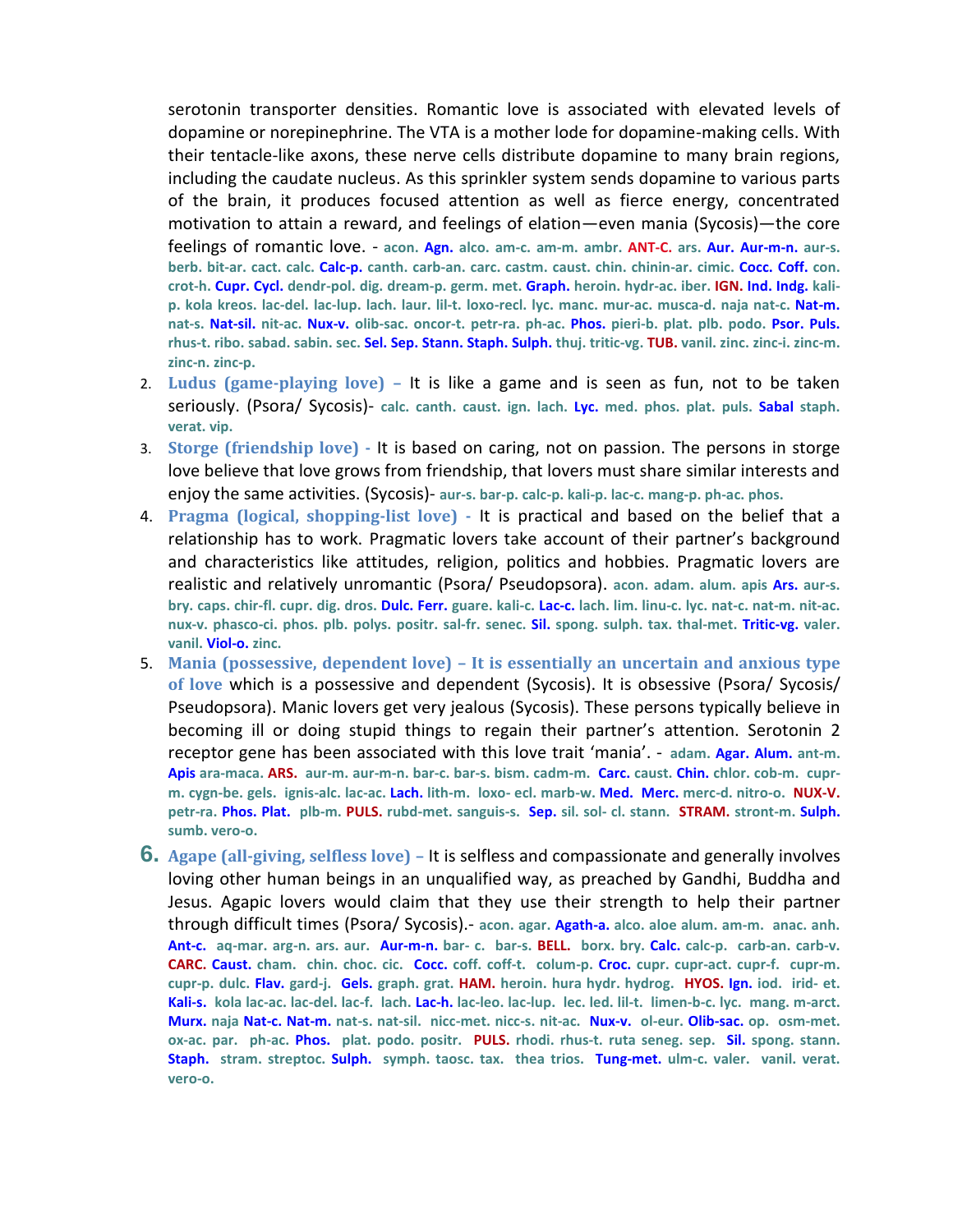serotonin transporter densities. Romantic love is associated with elevated levels of dopamine or norepinephrine. The VTA is a mother lode for dopamine-making cells. With their tentacle-like axons, these nerve cells distribute dopamine to many brain regions, including the caudate nucleus. As this sprinkler system sends dopamine to various parts of the brain, it produces focused attention as well as fierce energy, concentrated motivation to attain a reward, and feelings of elation—even mania (Sycosis)—the core feelings of romantic love. - **acon. Agn. alco. am-c. am-m. ambr. ANT-C. ars. Aur. Aur-m-n. aur-s. berb. bit-ar. cact. calc. Calc-p. canth. carb-an. carc. castm. caust. chin. chinin-ar. cimic. Cocc. Coff. con. crot-h. Cupr. Cycl. dendr-pol. dig. dream-p. germ. met. Graph. heroin. hydr-ac. iber. IGN. Ind. Indg. kalip. kola kreos. lac-del. lac-lup. lach. laur. lil-t. loxo-recl. lyc. manc. mur-ac. musca-d. naja nat-c. Nat-m. nat-s. Nat-sil. nit-ac. Nux-v. olib-sac. oncor-t. petr-ra. ph-ac. Phos. pieri-b. plat. plb. podo. Psor. Puls.** rhus-t. ribo. sabad. sabin. sec. Sel. Sep. Stann. Staph. Sulph. thuj. tritic-vg. TUB. vanil. zinc. zinc-i. zinc-m. **zinc-n. zinc-p.**

- 2. **Ludus (game-playing love) –** It is like a game and is seen as fun, not to be taken seriously. (Psora/ Sycosis)- **calc. canth. caust. ign. lach. Lyc. med. phos. plat. puls. Sabal staph. verat. vip.**
- 3. **Storge (friendship love) -** It is based on caring, not on passion. The persons in storge love believe that love grows from friendship, that lovers must share similar interests and enjoy the same activities. (Sycosis)- **aur-s. bar-p. calc-p. kali-p. lac-c. mang-p. ph-ac. phos.**
- 4. **Pragma (logical, shopping-list love) -** It is practical and based on the belief that a relationship has to work. Pragmatic lovers take account of their partner's background and characteristics like attitudes, religion, politics and hobbies. Pragmatic lovers are realistic and relatively unromantic (Psora/ Pseudopsora). **acon. adam. alum. apis Ars. aur-s.** bry. caps. chir-fl. cupr. dig. dros. Dulc. Ferr. guare. kali-c. Lac-c. lach. lim. linu-c. lyc. nat-c. nat-m. nit-ac. **nux-v. phasco-ci. phos. plb. polys. positr. sal-fr. senec. Sil. spong. sulph. tax. thal-met. Tritic-vg. valer. vanil. Viol-o. zinc.**
- 5. **Mania (possessive, dependent love) – It is essentially an uncertain and anxious type of love** which is a possessive and dependent (Sycosis). It is obsessive (Psora/ Sycosis/ Pseudopsora). Manic lovers get very jealous (Sycosis). These persons typically believe in becoming ill or doing stupid things to regain their partner's attention. Serotonin 2 receptor gene has been associated with this love trait 'mania'. - **adam. Agar. Alum. ant-m. Apis ara-maca. ARS. aur-m. aur-m-n. bar-c. bar-s. bism. cadm-m. Carc. caust. Chin. chlor. cob-m. cuprm. cygn-be. gels. ignis-alc. lac-ac. Lach. lith-m. loxo- ecl. marb-w. Med. Merc. merc-d. nitro-o. NUX-V. petr-ra. Phos. Plat. plb-m. PULS. rubd-met. sanguis-s. Sep. sil. sol- cl. stann. STRAM. stront-m. Sulph. sumb. vero-o.**
- **6. Agape (all-giving, selfless love) –** It is selfless and compassionate and generally involves loving other human beings in an unqualified way, as preached by Gandhi, Buddha and Jesus. Agapic lovers would claim that they use their strength to help their partner through difficult times (Psora/ Sycosis).- **acon. agar. Agath-a. alco. aloe alum. am-m. anac. anh. Ant-c. aq-mar. arg-n. ars. aur. Aur-m-n. bar- c. bar-s. BELL. borx. bry. Calc. calc-p. carb-an. carb-v. CARC. Caust. cham. chin. choc. cic. Cocc. coff. coff-t. colum-p. Croc. cupr. cupr-act. cupr-f. cupr-m. cupr-p. dulc. Flav. gard-j. Gels. graph. grat. HAM. heroin. hura hydr. hydrog. HYOS. Ign. iod. irid- et. Kali-s. kola lac-ac. lac-del. lac-f. lach. Lac-h. lac-leo. lac-lup. lec. led. lil-t. limen-b-c. lyc. mang. m-arct. Murx. naja Nat-c. Nat-m. nat-s. nat-sil. nicc-met. nicc-s. nit-ac. Nux-v. ol-eur. Olib-sac. op. osm-met. ox-ac. par. ph-ac. Phos. plat. podo. positr. PULS. rhodi. rhus-t. ruta seneg. sep. Sil. spong. stann. Staph. stram. streptoc. Sulph. symph. taosc. tax. thea trios. Tung-met. ulm-c. valer. vanil. verat. vero-o.**